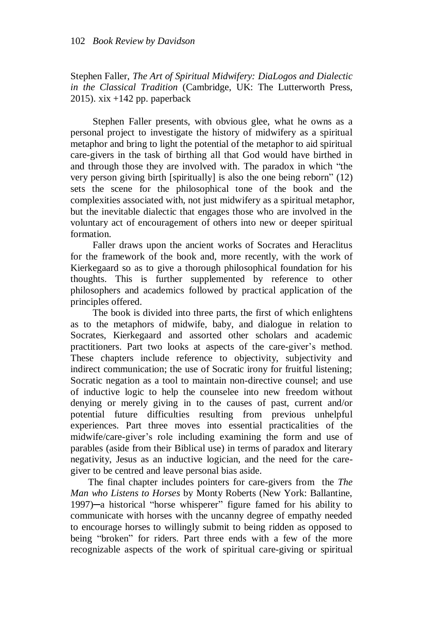Stephen Faller, *The Art of Spiritual Midwifery: DiaLogos and Dialectic in the Classical Tradition* (Cambridge, UK: The Lutterworth Press, 2015). xix  $+142$  pp. paperback

Stephen Faller presents, with obvious glee, what he owns as a personal project to investigate the history of midwifery as a spiritual metaphor and bring to light the potential of the metaphor to aid spiritual care-givers in the task of birthing all that God would have birthed in and through those they are involved with. The paradox in which "the very person giving birth [spiritually] is also the one being reborn" (12) sets the scene for the philosophical tone of the book and the complexities associated with, not just midwifery as a spiritual metaphor, but the inevitable dialectic that engages those who are involved in the voluntary act of encouragement of others into new or deeper spiritual formation.

Faller draws upon the ancient works of Socrates and Heraclitus for the framework of the book and, more recently, with the work of Kierkegaard so as to give a thorough philosophical foundation for his thoughts. This is further supplemented by reference to other philosophers and academics followed by practical application of the principles offered.

The book is divided into three parts, the first of which enlightens as to the metaphors of midwife, baby, and dialogue in relation to Socrates, Kierkegaard and assorted other scholars and academic practitioners. Part two looks at aspects of the care-giver's method. These chapters include reference to objectivity, subjectivity and indirect communication; the use of Socratic irony for fruitful listening; Socratic negation as a tool to maintain non-directive counsel; and use of inductive logic to help the counselee into new freedom without denying or merely giving in to the causes of past, current and/or potential future difficulties resulting from previous unhelpful experiences. Part three moves into essential practicalities of the midwife/care-giver's role including examining the form and use of parables (aside from their Biblical use) in terms of paradox and literary negativity, Jesus as an inductive logician, and the need for the caregiver to be centred and leave personal bias aside.

The final chapter includes pointers for care-givers from the *The Man who Listens to Horses* by Monty Roberts (New York: Ballantine, 1997)─a historical "horse whisperer" figure famed for his ability to communicate with horses with the uncanny degree of empathy needed to encourage horses to willingly submit to being ridden as opposed to being "broken" for riders. Part three ends with a few of the more recognizable aspects of the work of spiritual care-giving or spiritual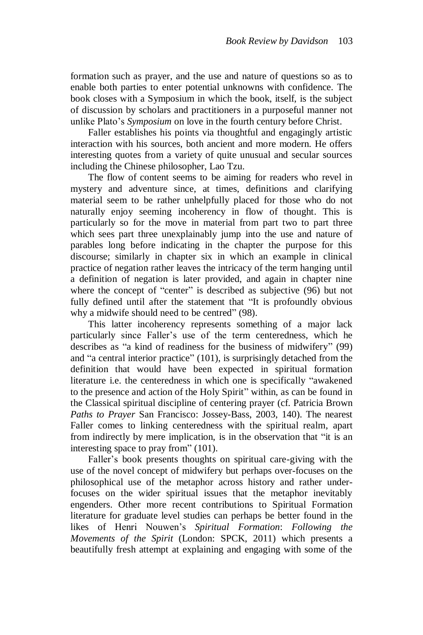formation such as prayer, and the use and nature of questions so as to enable both parties to enter potential unknowns with confidence. The book closes with a Symposium in which the book, itself, is the subject of discussion by scholars and practitioners in a purposeful manner not unlike Plato's *Symposium* on love in the fourth century before Christ*.*

Faller establishes his points via thoughtful and engagingly artistic interaction with his sources, both ancient and more modern. He offers interesting quotes from a variety of quite unusual and secular sources including the Chinese philosopher, Lao Tzu.

The flow of content seems to be aiming for readers who revel in mystery and adventure since, at times, definitions and clarifying material seem to be rather unhelpfully placed for those who do not naturally enjoy seeming incoherency in flow of thought. This is particularly so for the move in material from part two to part three which sees part three unexplainably jump into the use and nature of parables long before indicating in the chapter the purpose for this discourse; similarly in chapter six in which an example in clinical practice of negation rather leaves the intricacy of the term hanging until a definition of negation is later provided, and again in chapter nine where the concept of "center" is described as subjective (96) but not fully defined until after the statement that "It is profoundly obvious why a midwife should need to be centred" (98).

This latter incoherency represents something of a major lack particularly since Faller's use of the term centeredness, which he describes as "a kind of readiness for the business of midwifery" (99) and "a central interior practice" (101), is surprisingly detached from the definition that would have been expected in spiritual formation literature i.e. the centeredness in which one is specifically "awakened to the presence and action of the Holy Spirit" within, as can be found in the Classical spiritual discipline of centering prayer (cf. Patricia Brown *Paths to Prayer* San Francisco: Jossey-Bass, 2003, 140). The nearest Faller comes to linking centeredness with the spiritual realm, apart from indirectly by mere implication, is in the observation that "it is an interesting space to pray from" (101).

Faller's book presents thoughts on spiritual care-giving with the use of the novel concept of midwifery but perhaps over-focuses on the philosophical use of the metaphor across history and rather underfocuses on the wider spiritual issues that the metaphor inevitably engenders. Other more recent contributions to Spiritual Formation literature for graduate level studies can perhaps be better found in the likes of Henri Nouwen's *Spiritual Formation*: *Following the Movements of the Spirit* (London: SPCK, 2011) which presents a beautifully fresh attempt at explaining and engaging with some of the